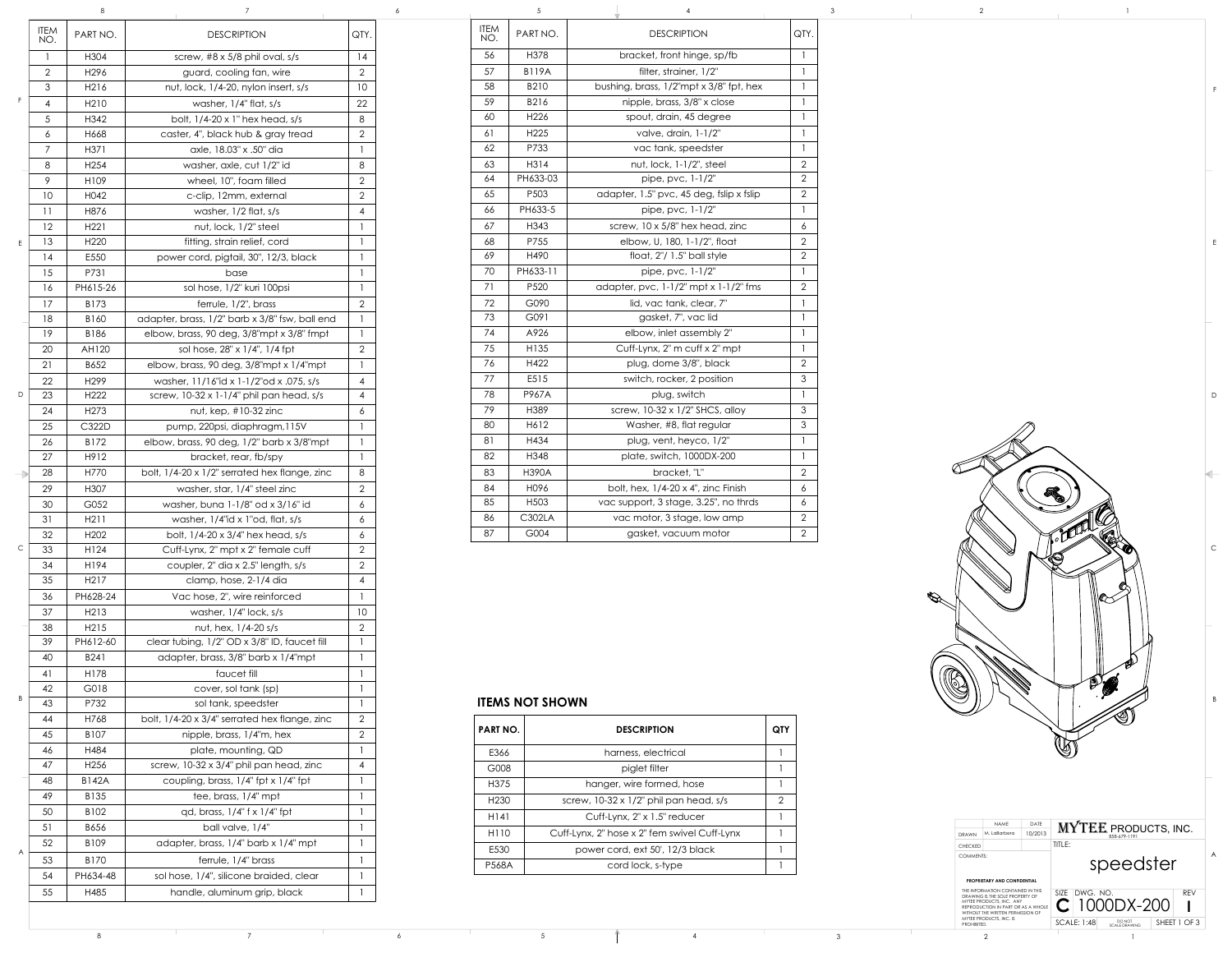## **ITEMS NOT SHOWN**

| <b>PART NO.</b>  | <b>DESCRIPTION</b>                           | QTY |
|------------------|----------------------------------------------|-----|
| E366             | harness, electrical                          |     |
| G008             | piglet filter                                |     |
| H <sub>375</sub> | hanger, wire formed, hose                    |     |
| H <sub>230</sub> | screw, 10-32 x 1/2" phil pan head, s/s       | 2   |
| H141             | Cuff-Lynx, 2" x 1.5" reducer                 |     |
| H <sub>110</sub> | Cuff-Lynx, 2" hose x 2" fem swivel Cuff-Lynx |     |
| E530             | power cord, ext 50', 12/3 black              |     |
| <b>P568A</b>     | cord lock, s-type                            |     |

| F             | <b>ITEM</b><br>NO. | PART NO.          | <b>DESCRIPTION</b>                                 | QTY.                |
|---------------|--------------------|-------------------|----------------------------------------------------|---------------------|
|               | $\mathbf{1}$       | H304              | screw, $#8 \times 5/8$ phil oval, s/s              | 14                  |
|               | $\overline{2}$     | H <sub>296</sub>  | guard, cooling fan, wire                           | $\overline{2}$      |
|               | 3                  | H216              | nut, lock, 1/4-20, nylon insert, s/s               | 10                  |
|               | 4                  | H <sub>2</sub> 10 | washer, 1/4" flat, s/s                             | 22                  |
|               | 5                  | H342              | bolt, 1/4-20 x 1" hex head, s/s                    | 8                   |
|               | 6                  | H668              | caster, 4", black hub & gray tread                 | $\overline{2}$      |
|               | 7                  | H371              | axle, 18.03" x .50" dia                            | 1                   |
|               | 8                  | H <sub>254</sub>  | washer, axle, cut 1/2" id                          | 8                   |
|               | 9                  | H109              | wheel, 10", foam filled                            | $\overline{2}$      |
|               | 10                 | H042              | c-clip, 12mm, external                             | $\overline{2}$      |
|               | 11                 | H876              | washer, $1/2$ flat, $s/s$                          |                     |
|               | 12                 | H221              | nut, lock, 1/2" steel                              |                     |
| E             | 13                 | H <sub>220</sub>  | fitting, strain relief, cord                       | 1                   |
|               | 14                 | E550              | power cord, pigtail, 30", 12/3, black              | 1                   |
|               | 15                 | P731              | base                                               | 1                   |
|               | 16                 | PH615-26          | sol hose, 1/2" kuri 100psi                         | $\mathbf{1}$        |
|               | 17                 | B173              | ferrule, 1/2", brass                               | $\overline{2}$      |
|               | 18                 | B160              | adapter, brass, 1/2" barb x 3/8" fsw, ball end     | 1                   |
|               | 19                 | B186              | elbow, brass, 90 deg, 3/8"mpt x 3/8" fmpt          | $\mathbf{1}$        |
|               | 20                 | AH120             | sol hose, 28" x 1/4", 1/4 fpt                      | $\overline{2}$      |
|               | 21                 | B652              | elbow, brass, 90 deg, 3/8"mpt x 1/4"mpt            |                     |
|               | 22                 | H <sub>299</sub>  | washer, 11/16"id x 1-1/2"od x .075, s/s            | $\overline{4}$      |
| D             | 23                 | H <sub>222</sub>  | screw, $10-32 \times 1-1/4$ " phil pan head, s/s   | $\overline{4}$      |
|               | 24                 | H <sub>273</sub>  | nut, kep, $#10-32$ zinc                            | 6                   |
|               | 25                 | C322D             | pump, 220psi, diaphragm, 115V                      | 1                   |
|               | 26                 | B172              | elbow, brass, 90 deg, 1/2" barb x 3/8"mpt          | $\mathbf{1}$        |
|               | 27                 | H912              | bracket, rear, fb/spy                              | 1                   |
| $\Rightarrow$ | 28                 | H770              | bolt, 1/4-20 x 1/2" serrated hex flange, zinc      | 8                   |
|               | 29                 | H307              | washer, star, 1/4" steel zinc                      | $\overline{2}$      |
|               | 30                 | G052              | washer, buna 1-1/8" od x 3/16" id                  | 6                   |
|               | 31                 | H211              | washer, $1/4$ "id x $1$ "od, flat, s/s             | 6                   |
|               | 32                 | H <sub>202</sub>  | bolt, 1/4-20 x 3/4" hex head, s/s                  | 6                   |
| C             | 33                 | H124              | Cuff-Lynx, 2" mpt x 2" female cuff                 | $\overline{2}$      |
|               | 34                 | H194              | coupler, 2" dia x 2.5" length, s/s                 | $\overline{2}$      |
|               | 35                 | H <sub>2</sub> 17 | clamp, hose, 2-1/4 dia                             | $\overline{4}$      |
|               | 36                 | PH628-24          | Vac hose, 2", wire reinforced                      | $\mathbf{1}$        |
|               | 37                 | H213              | washer, 1/4" lock, s/s                             | 10                  |
|               | 38<br>39           | H215<br>PH612-60  | nut, hex, 1/4-20 s/s                               | $\overline{2}$<br>1 |
|               | 40                 | B241              | clear tubing, 1/2" OD x 3/8" ID, faucet fill       | 1                   |
|               |                    |                   | adapter, brass, 3/8" barb x 1/4"mpt<br>faucet fill |                     |
|               | 41<br>42           | H178<br>G018      | cover, sol tank (sp)                               | 1<br>1              |
| B             | 43                 | P732              | sol tank, speedster                                | 1                   |
|               | 44                 | H768              | bolt, 1/4-20 x 3/4" serrated hex flange, zinc      | $\overline{2}$      |
|               | 45                 | B107              | nipple, brass, 1/4"m, hex                          | $\overline{2}$      |
|               | 46                 | H484              | plate, mounting, QD                                | 1                   |
|               | 47                 | H <sub>256</sub>  | screw, 10-32 x 3/4" phil pan head, zinc            | 4                   |
|               | 48                 | <b>B142A</b>      | coupling, brass, 1/4" fpt x 1/4" fpt               | 1                   |
| A             | 49                 | B135              | tee, brass, 1/4" mpt                               | 1                   |
|               | 50                 | B102              | qd, brass, 1/4" f x 1/4" fpt                       | 1                   |
|               | 51                 | B656              | ball valve, 1/4"                                   | 1                   |
|               | 52                 | B109              | adapter, brass, 1/4" barb x 1/4" mpt               | 1                   |
|               | 53                 | B170              | ferrule, 1/4" brass                                | 1                   |
|               | 54                 | PH634-48          | sol hose, 1/4", silicone braided, clear            | 1                   |
|               | 55                 | H485              | handle, aluminum grip, black                       | 1                   |
|               |                    |                   |                                                    |                     |

|                  |                                                  |                 |                    |                  |                                             |                | $\overline{2}$ |  |
|------------------|--------------------------------------------------|-----------------|--------------------|------------------|---------------------------------------------|----------------|----------------|--|
| NO.              | <b>DESCRIPTION</b>                               | QTY.            | <b>ITEM</b><br>NO. | PART NO.         | <b>DESCRIPTION</b>                          | QTY.           |                |  |
| 4                | screw, $\#8 \times 5/8$ phil oval, s/s           | 14              | 56                 | H378             | bracket, front hinge, sp/fb                 |                |                |  |
| 6                | guard, cooling fan, wire                         | $\overline{2}$  | 57                 | <b>B119A</b>     | filter, strainer, 1/2"                      |                |                |  |
| 6                | nut, lock, 1/4-20, nylon insert, s/s             | 10 <sup>°</sup> | 58                 | B210             | bushing, brass, 1/2"mpt x 3/8" fpt, hex     |                |                |  |
| 0                | washer, $1/4$ " flat, $s/s$                      | 22              | 59                 | B216             | nipple, brass, 3/8" x close                 |                |                |  |
| $\overline{2}$   | bolt, $1/4-20 \times 1$ " hex head, s/s          | 8               | 60                 | H226             | spout, drain, 45 degree                     |                |                |  |
| 8                | caster, 4", black hub & gray tread               | $\overline{2}$  | 61                 | H <sub>225</sub> | valve, drain, 1-1/2"                        |                |                |  |
|                  | axle, 18.03" x .50" dia                          |                 | 62                 | P733             | vac tank, speedster                         |                |                |  |
| 4                | washer, axle, cut 1/2" id                        | 8               | 63                 | H314             | $nut$ , lock, $1-1/2$ ", steel              | $\overline{2}$ |                |  |
| Q                | wheel, 10", foam filled                          | 2               | 64                 | PH633-03         | pipe, pvc, 1-1/2"                           | $\overline{2}$ |                |  |
|                  | c-clip, 12mm, external                           | $\overline{2}$  | 65                 | P503             | adapter, 1.5" pvc, 45 deg, fslip x fslip    | $\overline{2}$ |                |  |
| $\epsilon$       | washer, 1/2 flat, s/s                            |                 | 66                 | PH633-5          | pipe, pvc, 1-1/2"                           |                |                |  |
|                  | nut, lock, 1/2" steel                            |                 | 67                 | H343             | screw, 10 x 5/8" hex head, zinc             | 6              |                |  |
| 0                | fitting, strain relief, cord                     |                 | 68                 | P755             | elbow, U, 180, 1-1/2", float                | $\overline{2}$ |                |  |
|                  | power cord, pigtail, 30", 12/3, black            |                 | 69                 | H490             | float, 2"/ 1.5" ball style                  | $\overline{2}$ |                |  |
|                  | base                                             |                 | 70                 | PH633-11         | pipe, pvc, 1-1/2"                           |                |                |  |
| <sub>5</sub> -26 | sol hose, 1/2" kuri 100psi                       |                 | 71                 | P520             | adapter, pvc, $1-1/2$ " mpt x $1-1/2$ " fms | 2 <sup>1</sup> |                |  |
| 3                | ferrule, 1/2", brass                             |                 | 72                 | G090             | lid, vac tank, clear, 7"                    |                |                |  |
| 0                | adapter, brass, 1/2" barb x 3/8" fsw, ball end   |                 | 73                 | G091             | gasket, 7", vac lid                         |                |                |  |
| 6.               | elbow, brass, 90 deg, 3/8"mpt x 3/8" fmpt        |                 | 74                 | A926             | elbow, inlet assembly 2"                    |                |                |  |
| 20.              | sol hose, 28" x 1/4", 1/4 fpt                    | $\overline{2}$  | 75                 | H135             | Cuff-Lynx, 2" m cuff x 2" mpt               |                |                |  |
| $\mathcal{P}$    | elbow, brass, 90 deg, 3/8"mpt x 1/4"mpt          |                 | 76                 | H422             | plug, dome 3/8", black                      | $\overline{2}$ |                |  |
| 9                | washer, 11/16"id x 1-1/2"od x .075, s/s          |                 | 77                 | E515             | switch, rocker, 2 position                  | $\mathfrak{S}$ |                |  |
|                  | screw, $10-32 \times 1-1/4$ " phil pan head, s/s |                 | 78                 | P967A            | plug, switch                                |                |                |  |
| 3                | nut, kep, $#10-32$ zinc                          | O               | 79                 | H389             | screw, 10-32 x 1/2" SHCS, alloy             | $\mathfrak{S}$ |                |  |
| 2D               | pump, 220psi, diaphragm, 115V                    |                 | 80                 | H612             | Washer, #8, flat regular                    | $\mathfrak{S}$ |                |  |
| 2                | elbow, brass, 90 deg, 1/2" barb x 3/8"mpt        |                 | 81                 | H434             | plug, vent, heyco, 1/2"                     |                |                |  |
|                  | bracket, rear, fb/spy                            |                 | 82                 | H348             | plate, switch, 1000DX-200                   |                |                |  |
| 0                | bolt, 1/4-20 x 1/2" serrated hex flange, zinc    |                 | 83                 | <b>H390A</b>     | bracket, "L"                                | $\overline{2}$ |                |  |
|                  | washer, star, 1/4" steel zinc                    | $\overline{2}$  | 84                 | H096             | bolt, hex, $1/4-20 \times 4$ ", zinc Finish | 6 <sup>1</sup> |                |  |
| $\overline{2}$   | washer, buna 1-1/8" od x 3/16" id                | 6               | 85                 | H <sub>503</sub> | vac support, 3 stage, 3.25", no thrds       | 6 <sup>1</sup> |                |  |
|                  | washer, $1/4$ "id x $1$ "od, flat, s/s           |                 | 86                 | C302LA           | vac motor, 3 stage, low amp                 | $\overline{2}$ |                |  |
|                  | bolt, 1/4-20 x 3/4" hex head, s/s                |                 | 87                 | G004             | gasket, vacuum motor                        | $\overline{2}$ |                |  |
|                  |                                                  |                 |                    |                  |                                             |                |                |  |

D

C

B

E

F



A

8 7 6 5 1 4 3 2 1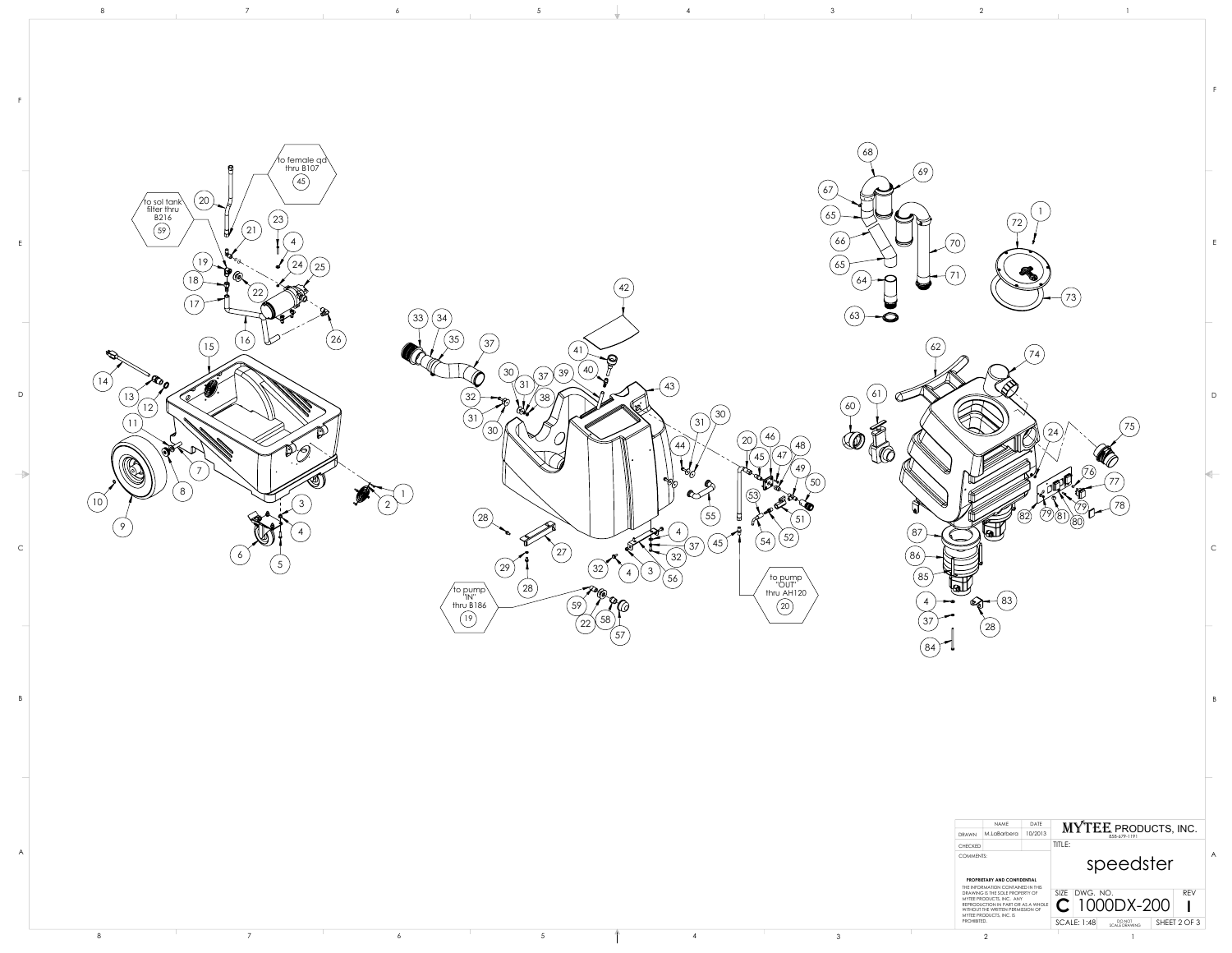